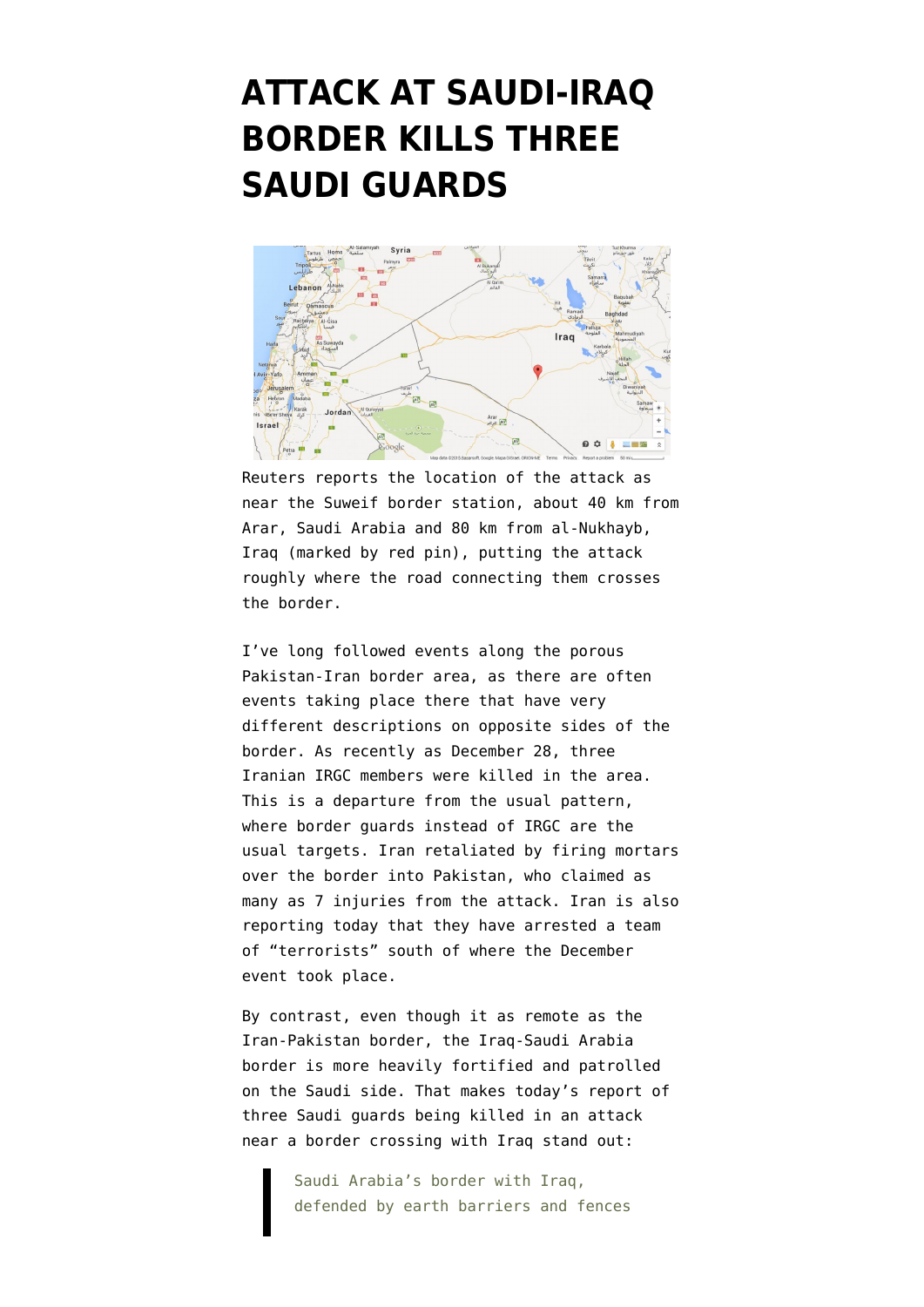## **[ATTACK AT SAUDI-IRAQ](https://www.emptywheel.net/2015/01/05/attack-at-saudi-iraq-border-kills-three-saudi-guards/) [BORDER KILLS THREE](https://www.emptywheel.net/2015/01/05/attack-at-saudi-iraq-border-kills-three-saudi-guards/) [SAUDI GUARDS](https://www.emptywheel.net/2015/01/05/attack-at-saudi-iraq-border-kills-three-saudi-guards/)**



Reuters reports the location of the attack as near the Suweif border station, about 40 km from Arar, Saudi Arabia and 80 km from al-Nukhayb, Iraq (marked by red pin), putting the attack roughly where the road connecting them crosses the border.

I've long followed events along the porous Pakistan-Iran border area, as there are often events taking place there that have very different descriptions on opposite sides of the border. As recently as December 28, [three](http://news.yahoo.com/three-iranian-revolutionary-guards-killed-near-pakistan-border-111813392.html) [Iranian IRGC members were killed in the area](http://news.yahoo.com/three-iranian-revolutionary-guards-killed-near-pakistan-border-111813392.html). This is a departure from the usual pattern, where border guards instead of IRGC are the usual targets. Iran retaliated by firing mortars over the border into [Pakistan, who claimed as](http://www.dawn.com/news/1153842/7-injured-as-iranian-border-guards-fire-rockets-in-balochistans-kech) [many as 7 injuries from the attack](http://www.dawn.com/news/1153842/7-injured-as-iranian-border-guards-fire-rockets-in-balochistans-kech). Iran is also reporting today that they have [arrested a team](http://en.mehrnews.com/detail/News/105364) [of "terrorists" s](http://en.mehrnews.com/detail/News/105364)outh of where the December event took place.

By contrast, even though it as remote as the Iran-Pakistan border, the Iraq-Saudi Arabia border is more heavily fortified and patrolled on the Saudi side. That makes today's report of thre[e Saudi guards being killed in an attack](http://www.reuters.com/article/2015/01/05/us-mideast-crisis-saudi-idUSKBN0KE0G420150105) [near a border crossing with Iraq](http://www.reuters.com/article/2015/01/05/us-mideast-crisis-saudi-idUSKBN0KE0G420150105) stand out:

> Saudi Arabia's border with Iraq, defended by earth barriers and fences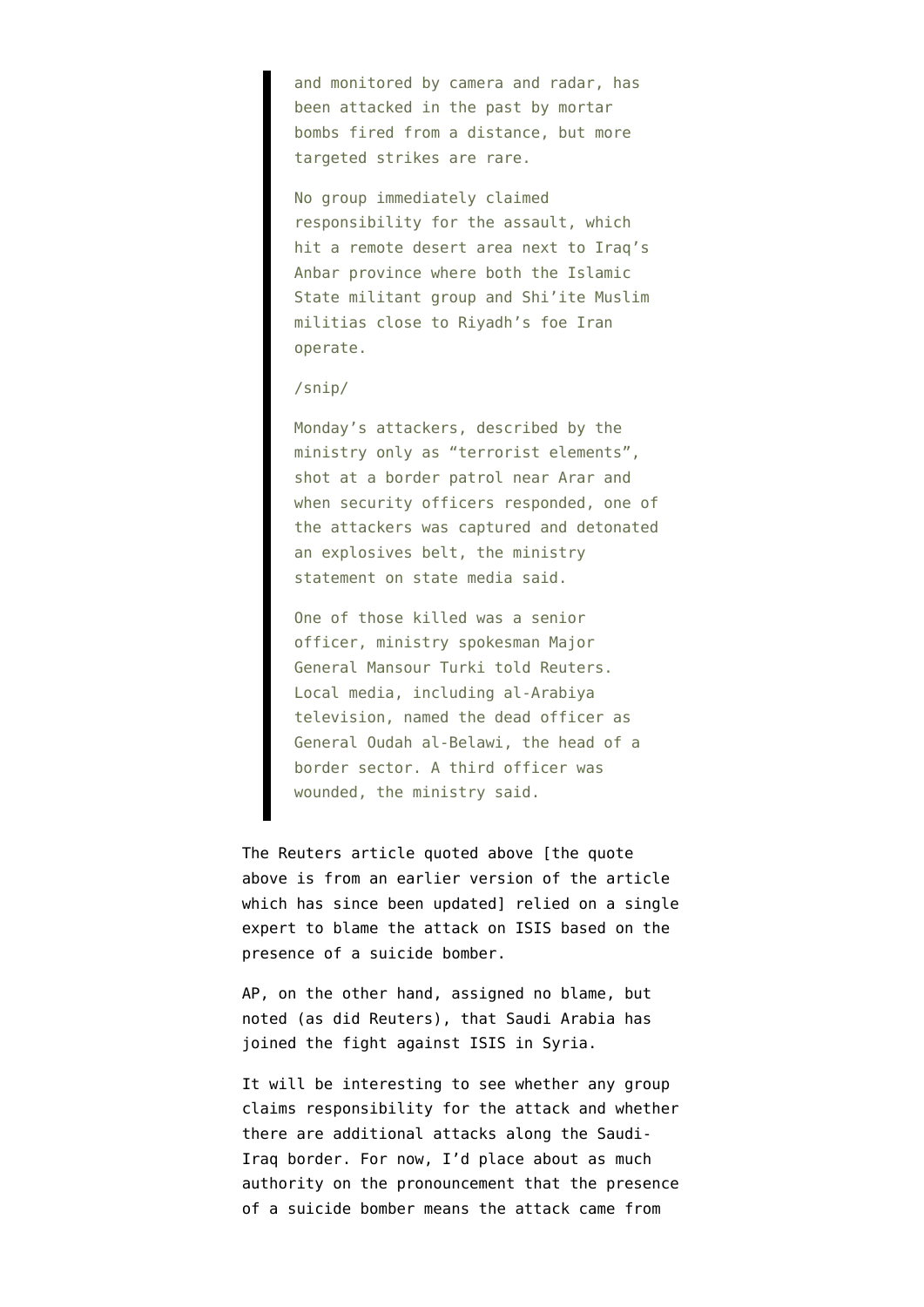and monitored by camera and radar, has been attacked in the past by mortar bombs fired from a distance, but more targeted strikes are rare.

No group immediately claimed responsibility for the assault, which hit a remote desert area next to Iraq's Anbar province where both the Islamic State militant group and Shi'ite Muslim militias close to Riyadh's foe Iran operate.

## /snip/

Monday's attackers, described by the ministry only as "terrorist elements", shot at a border patrol near Arar and when security officers responded, one of the attackers was captured and detonated an explosives belt, the ministry statement on state media said.

One of those killed was a senior officer, ministry spokesman Major General Mansour Turki told Reuters. Local media, including al-Arabiya television, named the dead officer as General Oudah al-Belawi, the head of a border sector. A third officer was wounded, the ministry said.

The Reuters article quoted above [the quote above is from an earlier version of the article which has since been updated] relied on a single expert to blame the attack on ISIS based on the presence of a suicide bomber.

[AP, on the other hand](http://www.nytimes.com/aponline/2015/01/05/world/middleeast/ap-ml-saudi-attack.html), assigned no blame, but noted (as did Reuters), that Saudi Arabia has joined the fight against ISIS in Syria.

It will be interesting to see whether any group claims responsibility for the attack and whether there are additional attacks along the Saudi-Iraq border. For now, I'd place about as much authority on the pronouncement that the presence of a suicide bomber means the attack came from